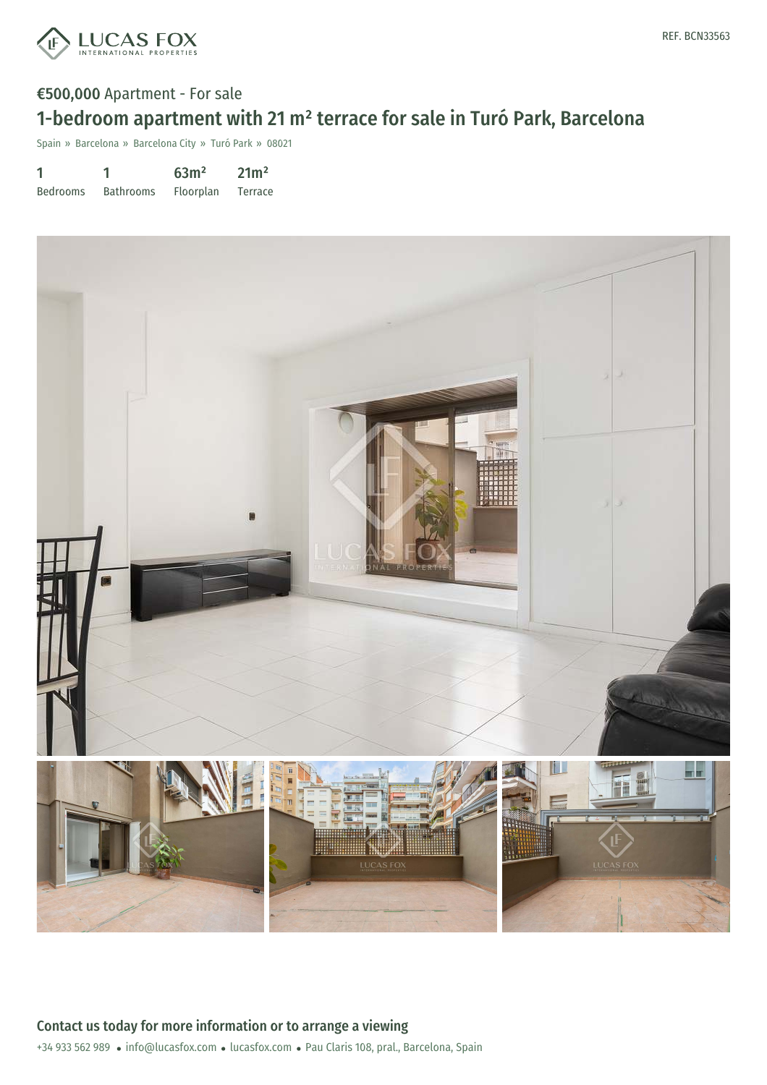

# €500,000 Apartment - For sale 1-bedroom apartment with 21 m² terrace for sale in Turó Park, Barcelona

Spain » Barcelona » Barcelona City » Turó Park » 08021

| 1               |                  | 63 <sup>m²</sup> | 21m <sup>2</sup> |
|-----------------|------------------|------------------|------------------|
| <b>Bedrooms</b> | <b>Bathrooms</b> | Floorplan        | Terrace          |

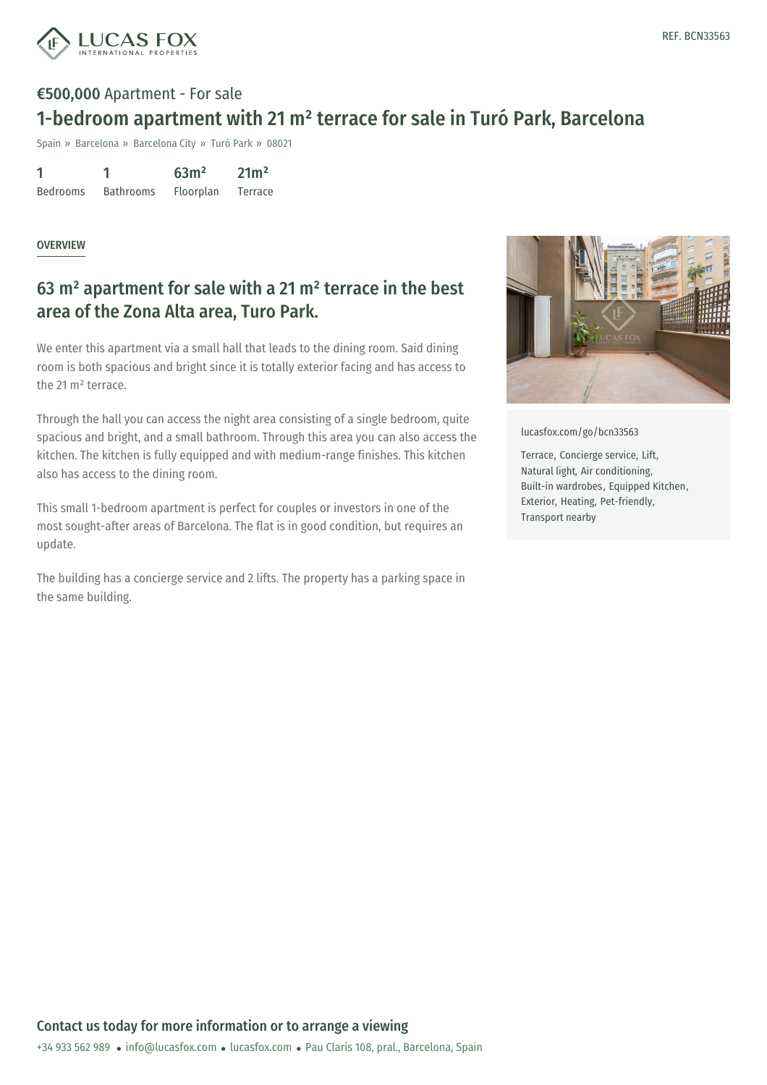

# €500,000 Apartment - For sale 1-bedroom apartment with 21 m² terrace for sale in Turó Park, Barcelona

Spain » Barcelona » Barcelona City » Turó Park » 08021

| 1               |                  | 63 <sup>m²</sup> | 21m <sup>2</sup> |
|-----------------|------------------|------------------|------------------|
| <b>Bedrooms</b> | <b>Bathrooms</b> | <b>Floorplan</b> | Terrace          |

#### **OVERVIEW**

### 63 m² apartment for sale with a 21 m² terrace in the best area of the Zona Alta area, Turo Park.

We enter this apartment via a small hall that leads to the dining room. Said dining room is both spacious and bright since it is totally exterior facing and has access to the 21 m² terrace.

Through the hall you can access the night area consisting of a single bedroom, quite spacious and bright, and a small bathroom. Through this area you can also access the kitchen. The kitchen is fully equipped and with medium-range finishes. This kitchen also has access to the dining room.

This small 1-bedroom apartment is perfect for couples or investors in one of the most sought-after areas of Barcelona. The flat is in good condition, but requires an update.

The building has a concierge service and 2 lifts. The property has a parking space in the same building.



[lucasfox.com/go/bcn33563](https://www.lucasfox.com/go/bcn33563)

Terrace, Concierge service, Lift, Natural light, Air conditioning, Built-in wardrobes, Equipped Kitchen, Exterior, Heating, Pet-friendly, Transport nearby